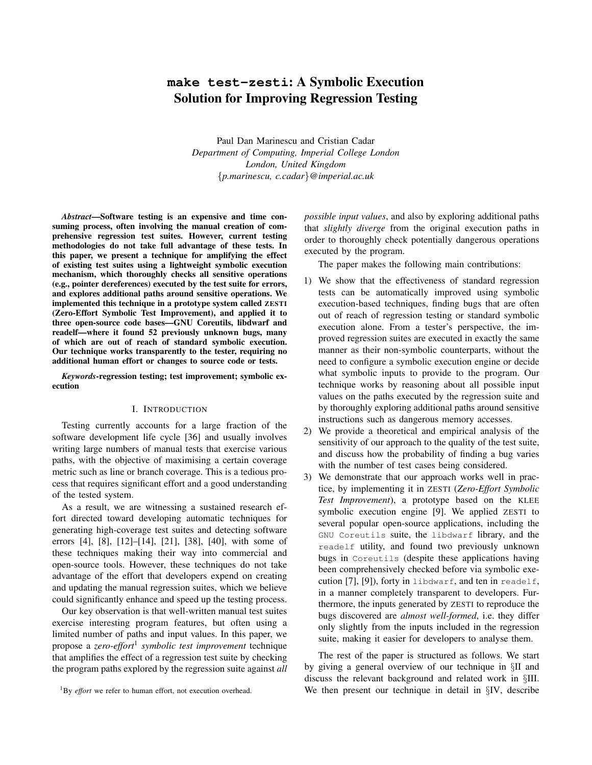# **make test-zesti**: A Symbolic Execution Solution for Improving Regression Testing

Paul Dan Marinescu and Cristian Cadar *Department of Computing, Imperial College London London, United Kingdom* {*p.marinescu, c.cadar*}*@imperial.ac.uk*

*Abstract*—Software testing is an expensive and time consuming process, often involving the manual creation of comprehensive regression test suites. However, current testing methodologies do not take full advantage of these tests. In this paper, we present a technique for amplifying the effect of existing test suites using a lightweight symbolic execution mechanism, which thoroughly checks all sensitive operations (e.g., pointer dereferences) executed by the test suite for errors, and explores additional paths around sensitive operations. We implemented this technique in a prototype system called ZESTI (Zero-Effort Symbolic Test Improvement), and applied it to three open-source code bases—GNU Coreutils, libdwarf and readelf—where it found 52 previously unknown bugs, many of which are out of reach of standard symbolic execution. Our technique works transparently to the tester, requiring no additional human effort or changes to source code or tests.

*Keywords*-regression testing; test improvement; symbolic execution

#### I. INTRODUCTION

Testing currently accounts for a large fraction of the software development life cycle [36] and usually involves writing large numbers of manual tests that exercise various paths, with the objective of maximising a certain coverage metric such as line or branch coverage. This is a tedious process that requires significant effort and a good understanding of the tested system.

As a result, we are witnessing a sustained research effort directed toward developing automatic techniques for generating high-coverage test suites and detecting software errors [4], [8], [12]–[14], [21], [38], [40], with some of these techniques making their way into commercial and open-source tools. However, these techniques do not take advantage of the effort that developers expend on creating and updating the manual regression suites, which we believe could significantly enhance and speed up the testing process.

Our key observation is that well-written manual test suites exercise interesting program features, but often using a limited number of paths and input values. In this paper, we propose a *zero-effort*<sup>1</sup> *symbolic test improvement* technique that amplifies the effect of a regression test suite by checking the program paths explored by the regression suite against *all*

<sup>1</sup>By *effort* we refer to human effort, not execution overhead.

*possible input values*, and also by exploring additional paths that *slightly diverge* from the original execution paths in order to thoroughly check potentially dangerous operations executed by the program.

The paper makes the following main contributions:

- 1) We show that the effectiveness of standard regression tests can be automatically improved using symbolic execution-based techniques, finding bugs that are often out of reach of regression testing or standard symbolic execution alone. From a tester's perspective, the improved regression suites are executed in exactly the same manner as their non-symbolic counterparts, without the need to configure a symbolic execution engine or decide what symbolic inputs to provide to the program. Our technique works by reasoning about all possible input values on the paths executed by the regression suite and by thoroughly exploring additional paths around sensitive instructions such as dangerous memory accesses.
- 2) We provide a theoretical and empirical analysis of the sensitivity of our approach to the quality of the test suite, and discuss how the probability of finding a bug varies with the number of test cases being considered.
- 3) We demonstrate that our approach works well in practice, by implementing it in ZESTI (*Zero-Effort Symbolic Test Improvement*), a prototype based on the KLEE symbolic execution engine [9]. We applied ZESTI to several popular open-source applications, including the GNU Coreutils suite, the libdwarf library, and the readelf utility, and found two previously unknown bugs in Coreutils (despite these applications having been comprehensively checked before via symbolic execution [7], [9]), forty in libdwarf, and ten in readelf, in a manner completely transparent to developers. Furthermore, the inputs generated by ZESTI to reproduce the bugs discovered are *almost well-formed*, i.e. they differ only slightly from the inputs included in the regression suite, making it easier for developers to analyse them.

The rest of the paper is structured as follows. We start by giving a general overview of our technique in §II and discuss the relevant background and related work in §III. We then present our technique in detail in §IV, describe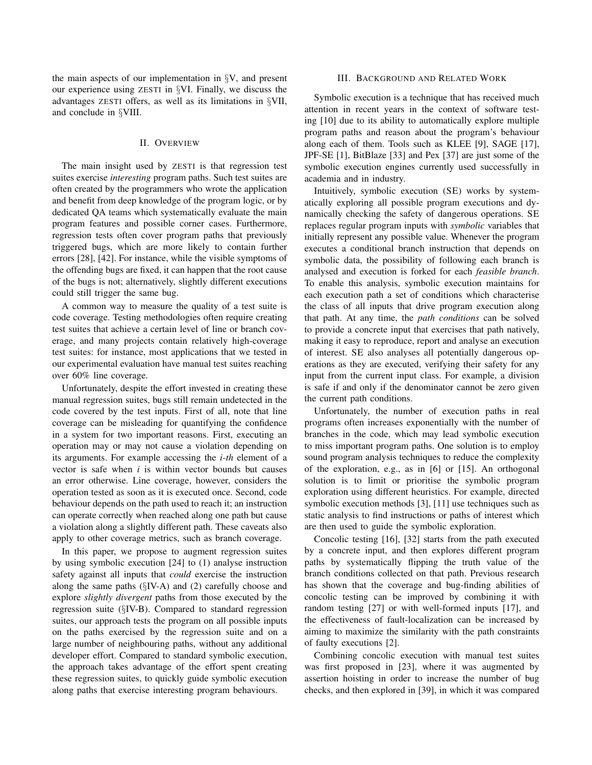the main aspects of our implementation in  $\S V$ , and present our experience using ZESTI in §VI. Finally, we discuss the advantages ZESTI offers, as well as its limitations in §VII, and conclude in §VIII.

# II. OVERVIEW

The main insight used by ZESTI is that regression test suites exercise *interesting* program paths. Such test suites are often created by the programmers who wrote the application and benefit from deep knowledge of the program logic, or by dedicated QA teams which systematically evaluate the main program features and possible corner cases. Furthermore, regression tests often cover program paths that previously triggered bugs, which are more likely to contain further errors [28], [42]. For instance, while the visible symptoms of the offending bugs are fixed, it can happen that the root cause of the bugs is not; alternatively, slightly different executions could still trigger the same bug.

A common way to measure the quality of a test suite is code coverage. Testing methodologies often require creating test suites that achieve a certain level of line or branch coverage, and many projects contain relatively high-coverage test suites: for instance, most applications that we tested in our experimental evaluation have manual test suites reaching over 60% line coverage.

Unfortunately, despite the effort invested in creating these manual regression suites, bugs still remain undetected in the code covered by the test inputs. First of all, note that line coverage can be misleading for quantifying the confidence in a system for two important reasons. First, executing an operation may or may not cause a violation depending on its arguments. For example accessing the *i-th* element of a vector is safe when *i* is within vector bounds but causes an error otherwise. Line coverage, however, considers the operation tested as soon as it is executed once. Second, code behaviour depends on the path used to reach it; an instruction can operate correctly when reached along one path but cause a violation along a slightly different path. These caveats also apply to other coverage metrics, such as branch coverage.

In this paper, we propose to augment regression suites by using symbolic execution [24] to (1) analyse instruction safety against all inputs that *could* exercise the instruction along the same paths (§IV-A) and (2) carefully choose and explore *slightly divergent* paths from those executed by the regression suite (§IV-B). Compared to standard regression suites, our approach tests the program on all possible inputs on the paths exercised by the regression suite and on a large number of neighbouring paths, without any additional developer effort. Compared to standard symbolic execution, the approach takes advantage of the effort spent creating these regression suites, to quickly guide symbolic execution along paths that exercise interesting program behaviours.

## III. BACKGROUND AND RELATED WORK

Symbolic execution is a technique that has received much attention in recent years in the context of software testing [10] due to its ability to automatically explore multiple program paths and reason about the program's behaviour along each of them. Tools such as KLEE [9], SAGE [17], JPF-SE [1], BitBlaze [33] and Pex [37] are just some of the symbolic execution engines currently used successfully in academia and in industry.

Intuitively, symbolic execution (SE) works by systematically exploring all possible program executions and dynamically checking the safety of dangerous operations. SE replaces regular program inputs with *symbolic* variables that initially represent any possible value. Whenever the program executes a conditional branch instruction that depends on symbolic data, the possibility of following each branch is analysed and execution is forked for each *feasible branch*. To enable this analysis, symbolic execution maintains for each execution path a set of conditions which characterise the class of all inputs that drive program execution along that path. At any time, the *path conditions* can be solved to provide a concrete input that exercises that path natively, making it easy to reproduce, report and analyse an execution of interest. SE also analyses all potentially dangerous operations as they are executed, verifying their safety for any input from the current input class. For example, a division is safe if and only if the denominator cannot be zero given the current path conditions.

Unfortunately, the number of execution paths in real programs often increases exponentially with the number of branches in the code, which may lead symbolic execution to miss important program paths. One solution is to employ sound program analysis techniques to reduce the complexity of the exploration, e.g., as in [6] or [15]. An orthogonal solution is to limit or prioritise the symbolic program exploration using different heuristics. For example, directed symbolic execution methods [3], [11] use techniques such as static analysis to find instructions or paths of interest which are then used to guide the symbolic exploration.

Concolic testing [16], [32] starts from the path executed by a concrete input, and then explores different program paths by systematically flipping the truth value of the branch conditions collected on that path. Previous research has shown that the coverage and bug-finding abilities of concolic testing can be improved by combining it with random testing [27] or with well-formed inputs [17], and the effectiveness of fault-localization can be increased by aiming to maximize the similarity with the path constraints of faulty executions [2].

Combining concolic execution with manual test suites was first proposed in [23], where it was augmented by assertion hoisting in order to increase the number of bug checks, and then explored in [39], in which it was compared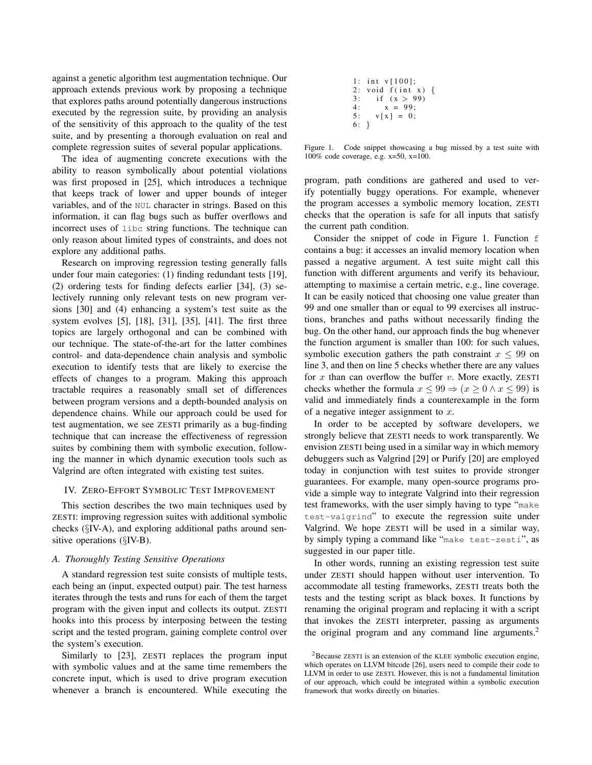against a genetic algorithm test augmentation technique. Our approach extends previous work by proposing a technique that explores paths around potentially dangerous instructions executed by the regression suite, by providing an analysis of the sensitivity of this approach to the quality of the test suite, and by presenting a thorough evaluation on real and complete regression suites of several popular applications.

The idea of augmenting concrete executions with the ability to reason symbolically about potential violations was first proposed in [25], which introduces a technique that keeps track of lower and upper bounds of integer variables, and of the NUL character in strings. Based on this information, it can flag bugs such as buffer overflows and incorrect uses of libc string functions. The technique can only reason about limited types of constraints, and does not explore any additional paths.

Research on improving regression testing generally falls under four main categories: (1) finding redundant tests [19], (2) ordering tests for finding defects earlier [34], (3) selectively running only relevant tests on new program versions [30] and (4) enhancing a system's test suite as the system evolves [5], [18], [31], [35], [41]. The first three topics are largely orthogonal and can be combined with our technique. The state-of-the-art for the latter combines control- and data-dependence chain analysis and symbolic execution to identify tests that are likely to exercise the effects of changes to a program. Making this approach tractable requires a reasonably small set of differences between program versions and a depth-bounded analysis on dependence chains. While our approach could be used for test augmentation, we see ZESTI primarily as a bug-finding technique that can increase the effectiveness of regression suites by combining them with symbolic execution, following the manner in which dynamic execution tools such as Valgrind are often integrated with existing test suites.

#### IV. ZERO-EFFORT SYMBOLIC TEST IMPROVEMENT

This section describes the two main techniques used by ZESTI: improving regression suites with additional symbolic checks (§IV-A), and exploring additional paths around sensitive operations (§IV-B).

# *A. Thoroughly Testing Sensitive Operations*

A standard regression test suite consists of multiple tests, each being an (input, expected output) pair. The test harness iterates through the tests and runs for each of them the target program with the given input and collects its output. ZESTI hooks into this process by interposing between the testing script and the tested program, gaining complete control over the system's execution.

Similarly to [23], ZESTI replaces the program input with symbolic values and at the same time remembers the concrete input, which is used to drive program execution whenever a branch is encountered. While executing the

 $1:$  int  $v[100];$ 2: void  $f(int x)$  { 3: if  $(x > 99)$ <br>4:  $x = 99$ ;  $x = 99$ ; 5:  $v[x] = 0;$  $6: \}$ 

Figure 1. Code snippet showcasing a bug missed by a test suite with 100% code coverage, e.g. x=50, x=100.

program, path conditions are gathered and used to verify potentially buggy operations. For example, whenever the program accesses a symbolic memory location, ZESTI checks that the operation is safe for all inputs that satisfy the current path condition.

Consider the snippet of code in Figure 1. Function f contains a bug: it accesses an invalid memory location when passed a negative argument. A test suite might call this function with different arguments and verify its behaviour, attempting to maximise a certain metric, e.g., line coverage. It can be easily noticed that choosing one value greater than 99 and one smaller than or equal to 99 exercises all instructions, branches and paths without necessarily finding the bug. On the other hand, our approach finds the bug whenever the function argument is smaller than 100: for such values, symbolic execution gathers the path constraint  $x \leq 99$  on line 3, and then on line 5 checks whether there are any values for  $x$  than can overflow the buffer  $v$ . More exactly, ZESTI checks whether the formula  $x < 99 \Rightarrow (x > 0 \land x < 99)$  is valid and immediately finds a counterexample in the form of a negative integer assignment to  $x$ .

In order to be accepted by software developers, we strongly believe that ZESTI needs to work transparently. We envision ZESTI being used in a similar way in which memory debuggers such as Valgrind [29] or Purify [20] are employed today in conjunction with test suites to provide stronger guarantees. For example, many open-source programs provide a simple way to integrate Valgrind into their regression test frameworks, with the user simply having to type "make test-valgrind" to execute the regression suite under Valgrind. We hope ZESTI will be used in a similar way, by simply typing a command like "make test-zesti", as suggested in our paper title.

In other words, running an existing regression test suite under ZESTI should happen without user intervention. To accommodate all testing frameworks, ZESTI treats both the tests and the testing script as black boxes. It functions by renaming the original program and replacing it with a script that invokes the ZESTI interpreter, passing as arguments the original program and any command line arguments.<sup>2</sup>

 $2B$  Because ZESTI is an extension of the KLEE symbolic execution engine. which operates on LLVM bitcode [26], users need to compile their code to LLVM in order to use ZESTI. However, this is not a fundamental limitation of our approach, which could be integrated within a symbolic execution framework that works directly on binaries.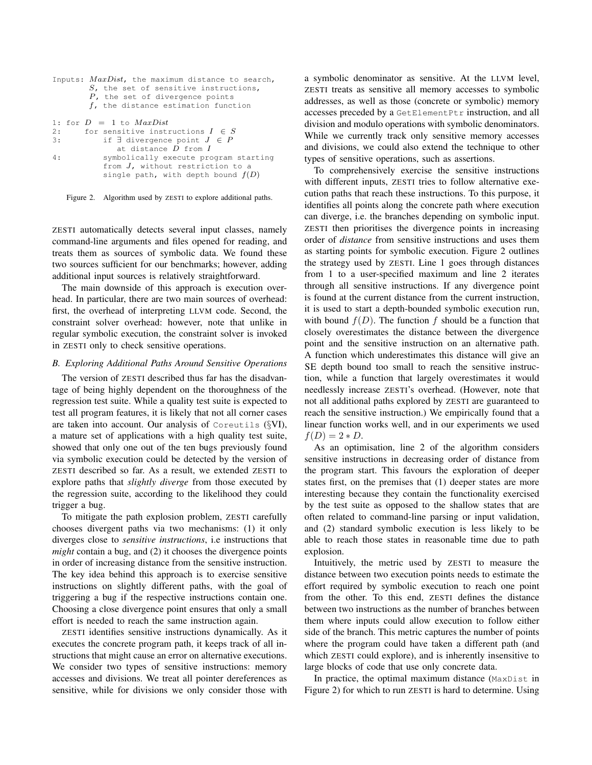```
Inputs: MaxDist, the maximum distance to search,
       S, the set of sensitive instructions,
       P, the set of divergence points
       f, the distance estimation function
1: for D = 1 to MaxDist2: for sensitive instructions I \in S3: if ∃ divergence point J \in Pat distance \overline{D} from I4: symbolically execute program starting
          from J, without restriction to a
          single path, with depth bound f(D)
```
Figure 2. Algorithm used by ZESTI to explore additional paths.

ZESTI automatically detects several input classes, namely command-line arguments and files opened for reading, and treats them as sources of symbolic data. We found these two sources sufficient for our benchmarks; however, adding additional input sources is relatively straightforward.

The main downside of this approach is execution overhead. In particular, there are two main sources of overhead: first, the overhead of interpreting LLVM code. Second, the constraint solver overhead: however, note that unlike in regular symbolic execution, the constraint solver is invoked in ZESTI only to check sensitive operations.

#### *B. Exploring Additional Paths Around Sensitive Operations*

The version of ZESTI described thus far has the disadvantage of being highly dependent on the thoroughness of the regression test suite. While a quality test suite is expected to test all program features, it is likely that not all corner cases are taken into account. Our analysis of Coreutils (§VI), a mature set of applications with a high quality test suite, showed that only one out of the ten bugs previously found via symbolic execution could be detected by the version of ZESTI described so far. As a result, we extended ZESTI to explore paths that *slightly diverge* from those executed by the regression suite, according to the likelihood they could trigger a bug.

To mitigate the path explosion problem, ZESTI carefully chooses divergent paths via two mechanisms: (1) it only diverges close to *sensitive instructions*, i.e instructions that *might* contain a bug, and (2) it chooses the divergence points in order of increasing distance from the sensitive instruction. The key idea behind this approach is to exercise sensitive instructions on slightly different paths, with the goal of triggering a bug if the respective instructions contain one. Choosing a close divergence point ensures that only a small effort is needed to reach the same instruction again.

ZESTI identifies sensitive instructions dynamically. As it executes the concrete program path, it keeps track of all instructions that might cause an error on alternative executions. We consider two types of sensitive instructions: memory accesses and divisions. We treat all pointer dereferences as sensitive, while for divisions we only consider those with a symbolic denominator as sensitive. At the LLVM level, ZESTI treats as sensitive all memory accesses to symbolic addresses, as well as those (concrete or symbolic) memory accesses preceded by a GetElementPtr instruction, and all division and modulo operations with symbolic denominators. While we currently track only sensitive memory accesses and divisions, we could also extend the technique to other types of sensitive operations, such as assertions.

To comprehensively exercise the sensitive instructions with different inputs, ZESTI tries to follow alternative execution paths that reach these instructions. To this purpose, it identifies all points along the concrete path where execution can diverge, i.e. the branches depending on symbolic input. ZESTI then prioritises the divergence points in increasing order of *distance* from sensitive instructions and uses them as starting points for symbolic execution. Figure 2 outlines the strategy used by ZESTI. Line 1 goes through distances from 1 to a user-specified maximum and line 2 iterates through all sensitive instructions. If any divergence point is found at the current distance from the current instruction, it is used to start a depth-bounded symbolic execution run, with bound  $f(D)$ . The function f should be a function that closely overestimates the distance between the divergence point and the sensitive instruction on an alternative path. A function which underestimates this distance will give an SE depth bound too small to reach the sensitive instruction, while a function that largely overestimates it would needlessly increase ZESTI's overhead. (However, note that not all additional paths explored by ZESTI are guaranteed to reach the sensitive instruction.) We empirically found that a linear function works well, and in our experiments we used  $f(D) = 2 * D$ .

As an optimisation, line 2 of the algorithm considers sensitive instructions in decreasing order of distance from the program start. This favours the exploration of deeper states first, on the premises that (1) deeper states are more interesting because they contain the functionality exercised by the test suite as opposed to the shallow states that are often related to command-line parsing or input validation, and (2) standard symbolic execution is less likely to be able to reach those states in reasonable time due to path explosion.

Intuitively, the metric used by ZESTI to measure the distance between two execution points needs to estimate the effort required by symbolic execution to reach one point from the other. To this end, ZESTI defines the distance between two instructions as the number of branches between them where inputs could allow execution to follow either side of the branch. This metric captures the number of points where the program could have taken a different path (and which ZESTI could explore), and is inherently insensitive to large blocks of code that use only concrete data.

In practice, the optimal maximum distance (MaxDist in Figure 2) for which to run ZESTI is hard to determine. Using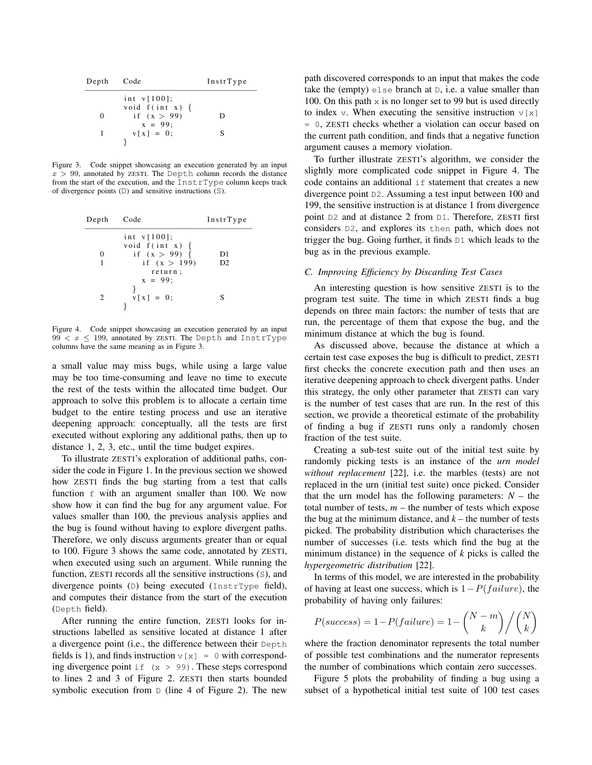| Depth    | Code                               | InstrType |  |  |  |  |
|----------|------------------------------------|-----------|--|--|--|--|
|          | int v[100]:                        |           |  |  |  |  |
| $\theta$ | void $f(int x)$ {<br>if $(x > 99)$ |           |  |  |  |  |
|          | $x = 99$ ;<br>$v[x] = 0$ ;         |           |  |  |  |  |
|          |                                    |           |  |  |  |  |

Figure 3. Code snippet showcasing an execution generated by an input  $x > 99$ , annotated by ZESTI. The Depth column records the distance from the start of the execution, and the InstrType column keeps track of divergence points (D) and sensitive instructions (S).

| Depth | Code                             | InstrType      |
|-------|----------------------------------|----------------|
|       | int v[100]:<br>void $f(int x)$ { |                |
|       | if $(x > 99)$ }                  | D1             |
|       | if $(x > 199)$                   | D <sub>2</sub> |
|       | return;                          |                |
|       | $x = 99$ ;                       |                |
|       | $v[x] = 0;$                      | s              |

Figure 4. Code snippet showcasing an execution generated by an input  $99 < x \le 199$ , annotated by ZESTI. The Depth and InstrType columns have the same meaning as in Figure 3.

a small value may miss bugs, while using a large value may be too time-consuming and leave no time to execute the rest of the tests within the allocated time budget. Our approach to solve this problem is to allocate a certain time budget to the entire testing process and use an iterative deepening approach: conceptually, all the tests are first executed without exploring any additional paths, then up to distance 1, 2, 3, etc., until the time budget expires.

To illustrate ZESTI's exploration of additional paths, consider the code in Figure 1. In the previous section we showed how ZESTI finds the bug starting from a test that calls function  $f$  with an argument smaller than 100. We now show how it can find the bug for any argument value. For values smaller than 100, the previous analysis applies and the bug is found without having to explore divergent paths. Therefore, we only discuss arguments greater than or equal to 100. Figure 3 shows the same code, annotated by ZESTI, when executed using such an argument. While running the function, ZESTI records all the sensitive instructions (S), and divergence points (D) being executed (InstrType field), and computes their distance from the start of the execution (Depth field).

After running the entire function, ZESTI looks for instructions labelled as sensitive located at distance 1 after a divergence point (i.e., the difference between their Depth fields is 1), and finds instruction  $v[x] = 0$  with corresponding divergence point if  $(x > 99)$ . These steps correspond to lines 2 and 3 of Figure 2. ZESTI then starts bounded symbolic execution from  $D$  (line 4 of Figure 2). The new path discovered corresponds to an input that makes the code take the (empty) else branch at D, i.e. a value smaller than 100. On this path  $x$  is no longer set to 99 but is used directly to index v. When executing the sensitive instruction  $v[x]$ = 0, ZESTI checks whether a violation can occur based on the current path condition, and finds that a negative function argument causes a memory violation.

To further illustrate ZESTI's algorithm, we consider the slightly more complicated code snippet in Figure 4. The code contains an additional if statement that creates a new divergence point D2. Assuming a test input between 100 and 199, the sensitive instruction is at distance 1 from divergence point D2 and at distance 2 from D1. Therefore, ZESTI first considers D2, and explores its then path, which does not trigger the bug. Going further, it finds D1 which leads to the bug as in the previous example.

#### *C. Improving Efficiency by Discarding Test Cases*

An interesting question is how sensitive ZESTI is to the program test suite. The time in which ZESTI finds a bug depends on three main factors: the number of tests that are run, the percentage of them that expose the bug, and the minimum distance at which the bug is found.

As discussed above, because the distance at which a certain test case exposes the bug is difficult to predict, ZESTI first checks the concrete execution path and then uses an iterative deepening approach to check divergent paths. Under this strategy, the only other parameter that ZESTI can vary is the number of test cases that are run. In the rest of this section, we provide a theoretical estimate of the probability of finding a bug if ZESTI runs only a randomly chosen fraction of the test suite.

Creating a sub-test suite out of the initial test suite by randomly picking tests is an instance of the *urn model without replacement* [22], i.e. the marbles (tests) are not replaced in the urn (initial test suite) once picked. Consider that the urn model has the following parameters:  $N -$  the total number of tests,  $m$  – the number of tests which expose the bug at the minimum distance, and  $k$  – the number of tests picked. The probability distribution which characterises the number of successes (i.e. tests which find the bug at the minimum distance) in the sequence of *k* picks is called the *hypergeometric distribution* [22].

In terms of this model, we are interested in the probability of having at least one success, which is  $1-P(f \ a i lure)$ , the probability of having only failures:

$$
P(success) = 1 - P(failure) = 1 - {N - m \choose k} / {N \choose k}
$$

where the fraction denominator represents the total number of possible test combinations and the numerator represents the number of combinations which contain zero successes.

Figure 5 plots the probability of finding a bug using a subset of a hypothetical initial test suite of 100 test cases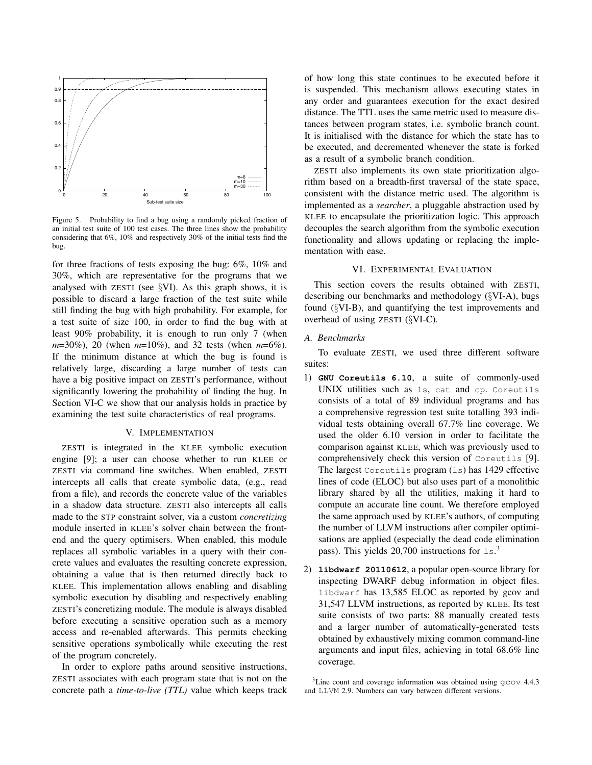

Figure 5. Probability to find a bug using a randomly picked fraction of an initial test suite of 100 test cases. The three lines show the probability considering that 6%, 10% and respectively 30% of the initial tests find the bug.

for three fractions of tests exposing the bug: 6%, 10% and 30%, which are representative for the programs that we analysed with ZESTI (see §VI). As this graph shows, it is possible to discard a large fraction of the test suite while still finding the bug with high probability. For example, for a test suite of size 100, in order to find the bug with at least 90% probability, it is enough to run only 7 (when *m*=30%), 20 (when *m*=10%), and 32 tests (when *m*=6%). If the minimum distance at which the bug is found is relatively large, discarding a large number of tests can have a big positive impact on ZESTI's performance, without significantly lowering the probability of finding the bug. In Section VI-C we show that our analysis holds in practice by examining the test suite characteristics of real programs.

#### V. IMPLEMENTATION

ZESTI is integrated in the KLEE symbolic execution engine [9]; a user can choose whether to run KLEE or ZESTI via command line switches. When enabled, ZESTI intercepts all calls that create symbolic data, (e.g., read from a file), and records the concrete value of the variables in a shadow data structure. ZESTI also intercepts all calls made to the STP constraint solver, via a custom *concretizing* module inserted in KLEE's solver chain between the frontend and the query optimisers. When enabled, this module replaces all symbolic variables in a query with their concrete values and evaluates the resulting concrete expression, obtaining a value that is then returned directly back to KLEE. This implementation allows enabling and disabling symbolic execution by disabling and respectively enabling ZESTI's concretizing module. The module is always disabled before executing a sensitive operation such as a memory access and re-enabled afterwards. This permits checking sensitive operations symbolically while executing the rest of the program concretely.

In order to explore paths around sensitive instructions, ZESTI associates with each program state that is not on the concrete path a *time-to-live (TTL)* value which keeps track of how long this state continues to be executed before it is suspended. This mechanism allows executing states in any order and guarantees execution for the exact desired distance. The TTL uses the same metric used to measure distances between program states, i.e. symbolic branch count. It is initialised with the distance for which the state has to be executed, and decremented whenever the state is forked as a result of a symbolic branch condition.

ZESTI also implements its own state prioritization algorithm based on a breadth-first traversal of the state space, consistent with the distance metric used. The algorithm is implemented as a *searcher*, a pluggable abstraction used by KLEE to encapsulate the prioritization logic. This approach decouples the search algorithm from the symbolic execution functionality and allows updating or replacing the implementation with ease.

## VI. EXPERIMENTAL EVALUATION

This section covers the results obtained with ZESTI, describing our benchmarks and methodology (§VI-A), bugs found (§VI-B), and quantifying the test improvements and overhead of using ZESTI (§VI-C).

# *A. Benchmarks*

To evaluate ZESTI, we used three different software suites:

- 1) **GNU Coreutils 6.10**, a suite of commonly-used UNIX utilities such as ls, cat and cp. Coreutils consists of a total of 89 individual programs and has a comprehensive regression test suite totalling 393 individual tests obtaining overall 67.7% line coverage. We used the older 6.10 version in order to facilitate the comparison against KLEE, which was previously used to comprehensively check this version of Coreutils [9]. The largest Coreutils program (ls) has 1429 effective lines of code (ELOC) but also uses part of a monolithic library shared by all the utilities, making it hard to compute an accurate line count. We therefore employed the same approach used by KLEE's authors, of computing the number of LLVM instructions after compiler optimisations are applied (especially the dead code elimination pass). This yields 20,700 instructions for  $1s<sup>3</sup>$
- 2) **libdwarf 20110612**, a popular open-source library for inspecting DWARF debug information in object files. libdwarf has 13,585 ELOC as reported by gcov and 31,547 LLVM instructions, as reported by KLEE. Its test suite consists of two parts: 88 manually created tests and a larger number of automatically-generated tests obtained by exhaustively mixing common command-line arguments and input files, achieving in total 68.6% line coverage.

<sup>&</sup>lt;sup>3</sup>Line count and coverage information was obtained using  $q$ cov 4.4.3 and LLVM 2.9. Numbers can vary between different versions.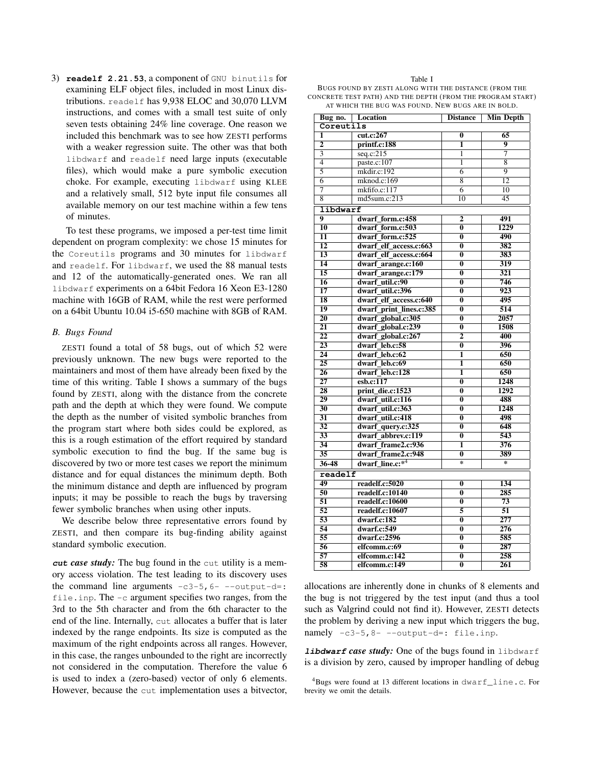3) **readelf 2.21.53**, a component of GNU binutils for examining ELF object files, included in most Linux distributions. readelf has 9,938 ELOC and 30,070 LLVM instructions, and comes with a small test suite of only seven tests obtaining 24% line coverage. One reason we included this benchmark was to see how ZESTI performs with a weaker regression suite. The other was that both libdwarf and readelf need large inputs (executable files), which would make a pure symbolic execution choke. For example, executing libdwarf using KLEE and a relatively small, 512 byte input file consumes all available memory on our test machine within a few tens of minutes.

To test these programs, we imposed a per-test time limit dependent on program complexity: we chose 15 minutes for the Coreutils programs and 30 minutes for libdwarf and readelf. For libdwarf, we used the 88 manual tests and 12 of the automatically-generated ones. We ran all libdwarf experiments on a 64bit Fedora 16 Xeon E3-1280 machine with 16GB of RAM, while the rest were performed on a 64bit Ubuntu 10.04 i5-650 machine with 8GB of RAM.

#### *B. Bugs Found*

ZESTI found a total of 58 bugs, out of which 52 were previously unknown. The new bugs were reported to the maintainers and most of them have already been fixed by the time of this writing. Table I shows a summary of the bugs found by ZESTI, along with the distance from the concrete path and the depth at which they were found. We compute the depth as the number of visited symbolic branches from the program start where both sides could be explored, as this is a rough estimation of the effort required by standard symbolic execution to find the bug. If the same bug is discovered by two or more test cases we report the minimum distance and for equal distances the minimum depth. Both the minimum distance and depth are influenced by program inputs; it may be possible to reach the bugs by traversing fewer symbolic branches when using other inputs.

We describe below three representative errors found by ZESTI, and then compare its bug-finding ability against standard symbolic execution.

**cut** *case study:* The bug found in the cut utility is a memory access violation. The test leading to its discovery uses the command line arguments  $-c3-5$ ,  $6-$  --output-d=: file.inp. The  $-c$  argument specifies two ranges, from the 3rd to the 5th character and from the 6th character to the end of the line. Internally, cut allocates a buffer that is later indexed by the range endpoints. Its size is computed as the maximum of the right endpoints across all ranges. However, in this case, the ranges unbounded to the right are incorrectly not considered in the computation. Therefore the value 6 is used to index a (zero-based) vector of only 6 elements. However, because the cut implementation uses a bitvector,

#### Table I

BUGS FOUND BY ZESTI ALONG WITH THE DISTANCE (FROM THE CONCRETE TEST PATH) AND THE DEPTH (FROM THE PROGRAM START) AT WHICH THE BUG WAS FOUND. NEW BUGS ARE IN BOLD.

| Bug no.               | Location                | <b>Distance</b>         | <b>Min Depth</b>         |  |  |  |  |  |  |  |  |
|-----------------------|-------------------------|-------------------------|--------------------------|--|--|--|--|--|--|--|--|
| Coreutils             |                         |                         |                          |  |  |  |  |  |  |  |  |
| ī                     | cut.c:267               | $\overline{\mathbf{0}}$ | $\overline{65}$          |  |  |  |  |  |  |  |  |
| $\overline{2}$        | printf.c:188            | ī                       | 9                        |  |  |  |  |  |  |  |  |
| $\overline{3}$        | seq.c:215               | ī                       | 7                        |  |  |  |  |  |  |  |  |
| $\overline{4}$        | partec:107              | ī                       | $\overline{8}$           |  |  |  |  |  |  |  |  |
| $\overline{5}$        | mkdir.c:192             | $\overline{6}$          | $\overline{9}$           |  |  |  |  |  |  |  |  |
| $\overline{6}$        | $m$ knod.c:169          | $\overline{8}$          | $\overline{12}$          |  |  |  |  |  |  |  |  |
| 7                     | $m$ kfifo.c:117         | $\overline{6}$          | $\overline{10}$          |  |  |  |  |  |  |  |  |
| 8                     | md5sum.c:213            | $\overline{10}$         | 45                       |  |  |  |  |  |  |  |  |
| libdwarf              |                         |                         |                          |  |  |  |  |  |  |  |  |
| $\overline{9}$        | dwarf_form.c:458        | $\mathbf{2}$            | 491                      |  |  |  |  |  |  |  |  |
| $\overline{10}$       | dwarf form.c:503        | $\overline{\mathbf{0}}$ | 1229                     |  |  |  |  |  |  |  |  |
| $\overline{11}$       | dwarf form.c:525        | $\overline{\mathbf{0}}$ | 490                      |  |  |  |  |  |  |  |  |
| $\overline{12}$       | dwarf_elf_access.c:663  | $\overline{\mathbf{0}}$ | 382                      |  |  |  |  |  |  |  |  |
| $\overline{13}$       | dwarf elf access.c:664  | $\overline{\mathbf{0}}$ | 383                      |  |  |  |  |  |  |  |  |
| $\overline{14}$       | dwarf_arange.c:160      | $\overline{\mathbf{0}}$ | 319                      |  |  |  |  |  |  |  |  |
| $\overline{15}$       | dwarf_arange.c:179      | $\overline{\mathbf{0}}$ | $\overline{321}$         |  |  |  |  |  |  |  |  |
| $\overline{16}$       | dwarf_util.c:90         | $\overline{\mathbf{0}}$ | 746                      |  |  |  |  |  |  |  |  |
| $\overline{17}$       | dwarf_util.c:396        | $\overline{\mathbf{0}}$ | 923                      |  |  |  |  |  |  |  |  |
| $\overline{18}$       | dwarf_elf_access.c:640  | $\overline{\mathbf{0}}$ | 495                      |  |  |  |  |  |  |  |  |
| $\overline{19}$       | dwarf_print_lines.c:385 | $\overline{\mathbf{0}}$ | 514                      |  |  |  |  |  |  |  |  |
| $\overline{20}$       | dwarf_global.c:305      | $\overline{\mathbf{0}}$ | 2057                     |  |  |  |  |  |  |  |  |
| $\overline{21}$       | dwarf_global.c:239      | $\overline{\mathbf{0}}$ | 1508                     |  |  |  |  |  |  |  |  |
| $\overline{22}$       | dwarf_global.c:267      | $\overline{2}$          | 400                      |  |  |  |  |  |  |  |  |
| 23                    | dwarf_leb.c:58          | $\overline{\mathbf{0}}$ | 396                      |  |  |  |  |  |  |  |  |
| 24                    | dwarf_leb.c:62          | ī                       | 650                      |  |  |  |  |  |  |  |  |
| 25                    | dwarf leb.c:69          | ī                       | 650                      |  |  |  |  |  |  |  |  |
| $\overline{26}$       | dwarf_leb.c:128         | ī                       | 650                      |  |  |  |  |  |  |  |  |
| $\overline{27}$       | est. c: 117             | $\overline{\mathbf{0}}$ | 1248                     |  |  |  |  |  |  |  |  |
| $\overline{28}$       | print_die.c:1523        | $\overline{\mathbf{0}}$ | 1292                     |  |  |  |  |  |  |  |  |
| 29                    | dwarf_util.c:116        | 0                       | 488                      |  |  |  |  |  |  |  |  |
| $\overline{30}$       | dwarf_util.c:363        | $\overline{\mathbf{0}}$ | 1248                     |  |  |  |  |  |  |  |  |
| $\overline{31}$       | dwarf util.c:418        | $\overline{\mathbf{0}}$ | 498                      |  |  |  |  |  |  |  |  |
| $\overline{32}$       | dwarf_query.c:325       | $\overline{\mathbf{0}}$ | 648                      |  |  |  |  |  |  |  |  |
| $\overline{33}$       | dwarf abbrev.c:119      | $\overline{\mathbf{0}}$ | 543                      |  |  |  |  |  |  |  |  |
| $\overline{34}$       | dwarf frame2.c:936      | ī                       | 376                      |  |  |  |  |  |  |  |  |
| $\overline{35}$       | dwarf_frame2.c:948      | $\overline{\mathbf{0}}$ | 389                      |  |  |  |  |  |  |  |  |
| $36 - 48$             | dwarf line.c:*4         | $\overline{\ast}$       | $\overline{\phantom{a}}$ |  |  |  |  |  |  |  |  |
| $\frac{1}{2}$ readelf |                         |                         |                          |  |  |  |  |  |  |  |  |
| 49                    | readelf.c:5020          | $\overline{\mathbf{0}}$ | 134                      |  |  |  |  |  |  |  |  |
| $\overline{50}$       | readelf.c:10140         | $\overline{0}$          | 285                      |  |  |  |  |  |  |  |  |
| $\overline{51}$       | readelf.c:10600         | $\overline{\mathbf{0}}$ | $\overline{73}$          |  |  |  |  |  |  |  |  |
| $\overline{52}$       | readelf.c:10607         | $\overline{5}$          | $\overline{51}$          |  |  |  |  |  |  |  |  |
| $\overline{53}$       | dwarf.c:182             | $\overline{\mathbf{0}}$ | 277                      |  |  |  |  |  |  |  |  |
| $\overline{54}$       | dwarf.c:549             | $\overline{\mathbf{0}}$ | 276                      |  |  |  |  |  |  |  |  |
| $\overline{55}$       | dwarf.c:2596            | $\overline{\mathbf{0}}$ | 585                      |  |  |  |  |  |  |  |  |
| 56                    | elfcomm.c:69            | $\overline{\mathbf{0}}$ | 287                      |  |  |  |  |  |  |  |  |
| $\overline{57}$       | elfcomm.c:142           | $\overline{\mathbf{0}}$ | 258                      |  |  |  |  |  |  |  |  |
| $\overline{58}$       | elfcomm.c:149           | $\overline{\mathbf{0}}$ | $\overline{261}$         |  |  |  |  |  |  |  |  |

allocations are inherently done in chunks of 8 elements and the bug is not triggered by the test input (and thus a tool such as Valgrind could not find it). However, ZESTI detects the problem by deriving a new input which triggers the bug, namely -c3-5,8- --output-d=: file.inp.

**libdwarf** *case study:* One of the bugs found in libdwarf is a division by zero, caused by improper handling of debug

<sup>4</sup>Bugs were found at 13 different locations in dwarf\_line.c. For brevity we omit the details.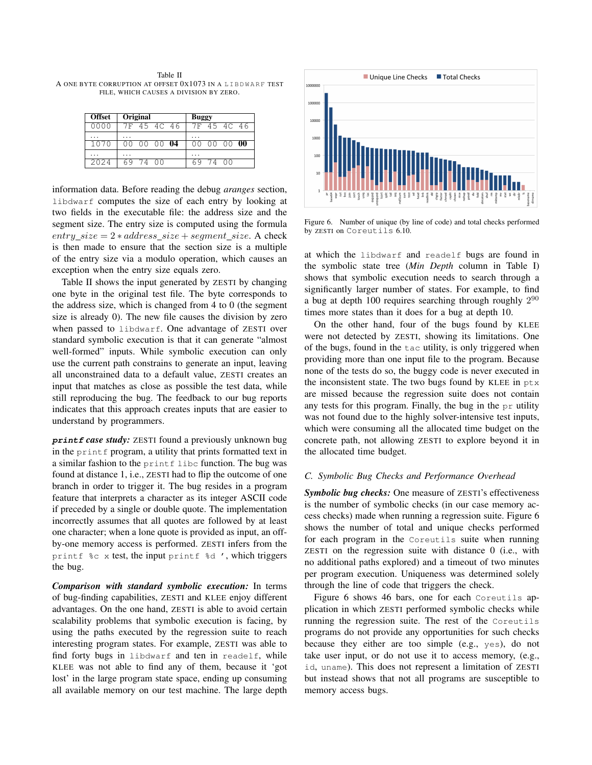Table II A ONE BYTE CORRUPTION AT OFFSET 0X1073 IN A LIBDWARF TEST FILE, WHICH CAUSES A DIVISION BY ZERO.

| <b>Offset</b> | Original        | <b>Buggy</b>        |  |  |  |  |  |
|---------------|-----------------|---------------------|--|--|--|--|--|
| 00 O U        | 7F 45 4C 46     | 7F 45 4C 46         |  |  |  |  |  |
| .             | .               | .                   |  |  |  |  |  |
| 1070          | 00000<br>$00^-$ | 00<br>00 00<br>nn - |  |  |  |  |  |
| .             | .               | .                   |  |  |  |  |  |
| 2024          | 69<br>74 00     | 7400<br>69.         |  |  |  |  |  |

information data. Before reading the debug *aranges* section, libdwarf computes the size of each entry by looking at two fields in the executable file: the address size and the segment size. The entry size is computed using the formula  $entry\_size = 2 * address\_size + segment\_size$ . A check is then made to ensure that the section size is a multiple of the entry size via a modulo operation, which causes an exception when the entry size equals zero.

Table II shows the input generated by ZESTI by changing one byte in the original test file. The byte corresponds to the address size, which is changed from 4 to 0 (the segment size is already 0). The new file causes the division by zero when passed to libdwarf. One advantage of ZESTI over standard symbolic execution is that it can generate "almost well-formed" inputs. While symbolic execution can only use the current path constrains to generate an input, leaving all unconstrained data to a default value, ZESTI creates an input that matches as close as possible the test data, while still reproducing the bug. The feedback to our bug reports indicates that this approach creates inputs that are easier to understand by programmers.

**printf** *case study:* ZESTI found a previously unknown bug in the printf program, a utility that prints formatted text in a similar fashion to the printf libc function. The bug was found at distance 1, i.e., ZESTI had to flip the outcome of one branch in order to trigger it. The bug resides in a program feature that interprets a character as its integer ASCII code if preceded by a single or double quote. The implementation incorrectly assumes that all quotes are followed by at least one character; when a lone quote is provided as input, an offby-one memory access is performed. ZESTI infers from the printf %c x test, the input printf %d ', which triggers the bug.

*Comparison with standard symbolic execution:* In terms of bug-finding capabilities, ZESTI and KLEE enjoy different advantages. On the one hand, ZESTI is able to avoid certain scalability problems that symbolic execution is facing, by using the paths executed by the regression suite to reach interesting program states. For example, ZESTI was able to find forty bugs in libdwarf and ten in readelf, while KLEE was not able to find any of them, because it 'got lost' in the large program state space, ending up consuming all available memory on our test machine. The large depth



Figure 6. Number of unique (by line of code) and total checks performed by ZESTI on Coreutils 6.10.

at which the libdwarf and readelf bugs are found in the symbolic state tree (*Min Depth* column in Table I) shows that symbolic execution needs to search through a significantly larger number of states. For example, to find a bug at depth 100 requires searching through roughly  $2^{90}$ times more states than it does for a bug at depth 10.

On the other hand, four of the bugs found by KLEE were not detected by ZESTI, showing its limitations. One of the bugs, found in the tac utility, is only triggered when providing more than one input file to the program. Because none of the tests do so, the buggy code is never executed in the inconsistent state. The two bugs found by KLEE in  $ptx$ are missed because the regression suite does not contain any tests for this program. Finally, the bug in the  $pr$  utility was not found due to the highly solver-intensive test inputs, which were consuming all the allocated time budget on the concrete path, not allowing ZESTI to explore beyond it in the allocated time budget.

#### *C. Symbolic Bug Checks and Performance Overhead*

*Symbolic bug checks:* One measure of ZESTI's effectiveness is the number of symbolic checks (in our case memory access checks) made when running a regression suite. Figure 6 shows the number of total and unique checks performed for each program in the Coreutils suite when running ZESTI on the regression suite with distance 0 (i.e., with no additional paths explored) and a timeout of two minutes per program execution. Uniqueness was determined solely through the line of code that triggers the check.

Figure 6 shows 46 bars, one for each Coreutils application in which ZESTI performed symbolic checks while running the regression suite. The rest of the Coreutils programs do not provide any opportunities for such checks because they either are too simple (e.g., yes), do not take user input, or do not use it to access memory, (e.g., id, uname). This does not represent a limitation of ZESTI but instead shows that not all programs are susceptible to memory access bugs.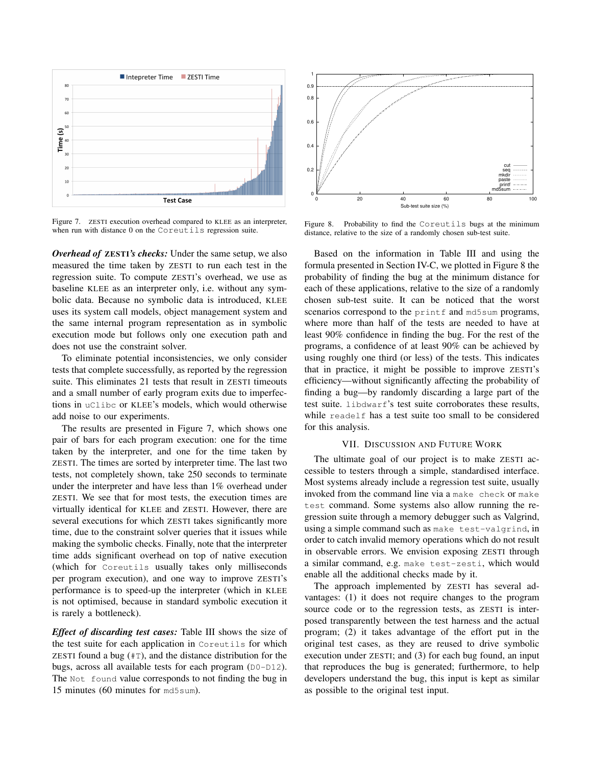

Figure 7. ZESTI execution overhead compared to KLEE as an interpreter, when run with distance 0 on the Coreutils regression suite.

*Overhead of* ZESTI*'s checks:* Under the same setup, we also measured the time taken by ZESTI to run each test in the regression suite. To compute ZESTI's overhead, we use as baseline KLEE as an interpreter only, i.e. without any symbolic data. Because no symbolic data is introduced, KLEE uses its system call models, object management system and the same internal program representation as in symbolic execution mode but follows only one execution path and does not use the constraint solver.

To eliminate potential inconsistencies, we only consider tests that complete successfully, as reported by the regression suite. This eliminates 21 tests that result in ZESTI timeouts and a small number of early program exits due to imperfections in uClibc or KLEE's models, which would otherwise add noise to our experiments.

The results are presented in Figure 7, which shows one pair of bars for each program execution: one for the time taken by the interpreter, and one for the time taken by ZESTI. The times are sorted by interpreter time. The last two tests, not completely shown, take 250 seconds to terminate under the interpreter and have less than 1% overhead under ZESTI. We see that for most tests, the execution times are virtually identical for KLEE and ZESTI. However, there are several executions for which ZESTI takes significantly more time, due to the constraint solver queries that it issues while making the symbolic checks. Finally, note that the interpreter time adds significant overhead on top of native execution (which for Coreutils usually takes only milliseconds per program execution), and one way to improve ZESTI's performance is to speed-up the interpreter (which in KLEE is not optimised, because in standard symbolic execution it is rarely a bottleneck).

*Effect of discarding test cases:* Table III shows the size of the test suite for each application in Coreutils for which ZESTI found a bug  $(\text{#T})$ , and the distance distribution for the bugs, across all available tests for each program (D0-D12). The Not found value corresponds to not finding the bug in 15 minutes (60 minutes for md5sum).



Figure 8. Probability to find the Coreutils bugs at the minimum distance, relative to the size of a randomly chosen sub-test suite.

Based on the information in Table III and using the formula presented in Section IV-C, we plotted in Figure 8 the probability of finding the bug at the minimum distance for each of these applications, relative to the size of a randomly chosen sub-test suite. It can be noticed that the worst scenarios correspond to the printf and md5sum programs, where more than half of the tests are needed to have at least 90% confidence in finding the bug. For the rest of the programs, a confidence of at least 90% can be achieved by using roughly one third (or less) of the tests. This indicates that in practice, it might be possible to improve ZESTI's efficiency—without significantly affecting the probability of finding a bug—by randomly discarding a large part of the test suite. libdwarf's test suite corroborates these results, while readelf has a test suite too small to be considered for this analysis.

#### VII. DISCUSSION AND FUTURE WORK

The ultimate goal of our project is to make ZESTI accessible to testers through a simple, standardised interface. Most systems already include a regression test suite, usually invoked from the command line via a make check or make test command. Some systems also allow running the regression suite through a memory debugger such as Valgrind, using a simple command such as make test-valgrind, in order to catch invalid memory operations which do not result in observable errors. We envision exposing ZESTI through a similar command, e.g. make test-zesti, which would enable all the additional checks made by it.

The approach implemented by ZESTI has several advantages: (1) it does not require changes to the program source code or to the regression tests, as ZESTI is interposed transparently between the test harness and the actual program; (2) it takes advantage of the effort put in the original test cases, as they are reused to drive symbolic execution under ZESTI; and (3) for each bug found, an input that reproduces the bug is generated; furthermore, to help developers understand the bug, this input is kept as similar as possible to the original test input.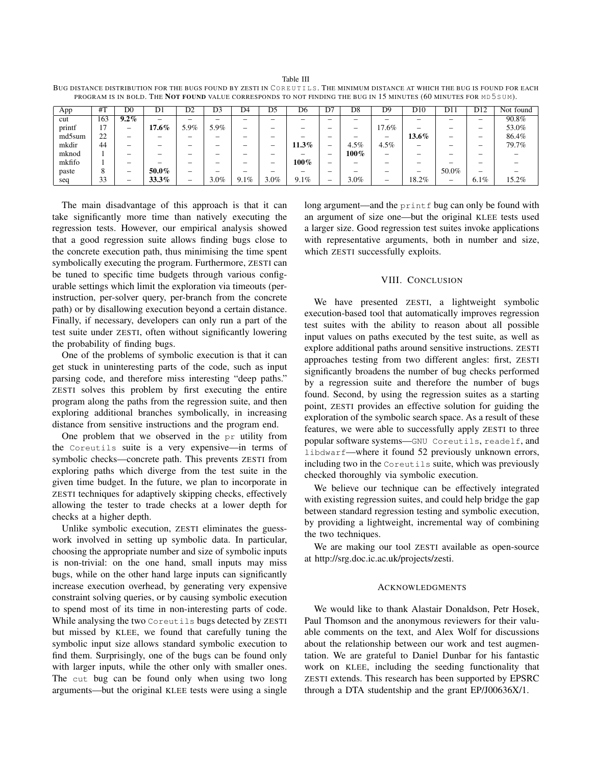Table III BUG DISTANCE DISTRIBUTION FOR THE BUGS FOUND BY ZESTI IN COREUTILS. THE MINIMUM DISTANCE AT WHICH THE BUG IS FOUND FOR EACH PROGRAM IS IN BOLD. THE NOT FOUND VALUE CORRESPONDS TO NOT FINDING THE BUG IN 15 MINUTES (60 MINUTES FOR MD5SUM).

| App    | #T             | D0                       | D1                       | D <sub>2</sub> | D <sub>3</sub>           | D4                       | D5   | D6                       | D7                       | D <sub>8</sub>           | D <sub>9</sub>           | D10      | D11                      | D12                      | Not found                |
|--------|----------------|--------------------------|--------------------------|----------------|--------------------------|--------------------------|------|--------------------------|--------------------------|--------------------------|--------------------------|----------|--------------------------|--------------------------|--------------------------|
| cut    | 163            | $9.2\%$                  |                          |                |                          | $\hspace{0.05cm}$        |      |                          | $\hspace{0.05cm}$        |                          |                          |          | $\overline{\phantom{a}}$ |                          | 90.8%                    |
| printf | 17<br>. .      | $\overline{\phantom{a}}$ | $17.6\%$                 | 5.9%           | 5.9%                     | $\overline{\phantom{a}}$ |      | $\overline{\phantom{a}}$ | $\overline{\phantom{a}}$ | $\overline{\phantom{0}}$ | 17.6%                    | -        | -                        | $\overline{\phantom{a}}$ | 53.0%                    |
| md5sum | $\gamma$<br>∠∠ |                          | -                        |                |                          | -                        | -    |                          | $\overline{\phantom{m}}$ |                          | $\overline{\phantom{m}}$ | $13.6\%$ | $\hspace{0.05cm}$        | $\hspace{0.05cm}$        | 86.4%                    |
| mkdir  | 44             |                          | $\overline{\phantom{a}}$ |                |                          | $\overline{\phantom{a}}$ |      | $11.3\%$                 | $\overline{\phantom{m}}$ | 4.5%                     | 4.5%                     | -        | $\overline{\phantom{a}}$ | $\hspace{0.05cm}$        | 79.7%                    |
| mknod  |                |                          | -                        | -              | $\overline{\phantom{a}}$ | -                        |      | $\overline{\phantom{a}}$ |                          | $100\%$                  | -                        | -        |                          |                          |                          |
| mkfifo |                | $\overline{\phantom{a}}$ | $\overline{\phantom{a}}$ |                |                          | $\overline{\phantom{a}}$ |      | 100%                     | $\hspace{0.05cm}$        |                          |                          | -        | $\overline{\phantom{a}}$ | $\overline{\phantom{a}}$ | $\overline{\phantom{a}}$ |
| paste  | 8              | $\overline{\phantom{a}}$ | 50.0%                    |                |                          | -                        |      |                          | $\hspace{0.05cm}$        |                          |                          |          | 50.0%                    | $\hspace{0.05cm}$        | $\hspace{0.05cm}$        |
| seq    | 33             |                          | 33.3%                    |                | 3.0%                     | 9.1%                     | 3.0% | 9.1%                     | $\overline{\phantom{m}}$ | 3.0%                     | -                        | 18.2%    | $\overline{\phantom{a}}$ | 6.1%                     | 15.2%                    |

The main disadvantage of this approach is that it can take significantly more time than natively executing the regression tests. However, our empirical analysis showed that a good regression suite allows finding bugs close to the concrete execution path, thus minimising the time spent symbolically executing the program. Furthermore, ZESTI can be tuned to specific time budgets through various configurable settings which limit the exploration via timeouts (perinstruction, per-solver query, per-branch from the concrete path) or by disallowing execution beyond a certain distance. Finally, if necessary, developers can only run a part of the test suite under ZESTI, often without significantly lowering the probability of finding bugs.

One of the problems of symbolic execution is that it can get stuck in uninteresting parts of the code, such as input parsing code, and therefore miss interesting "deep paths." ZESTI solves this problem by first executing the entire program along the paths from the regression suite, and then exploring additional branches symbolically, in increasing distance from sensitive instructions and the program end.

One problem that we observed in the pr utility from the Coreutils suite is a very expensive—in terms of symbolic checks—concrete path. This prevents ZESTI from exploring paths which diverge from the test suite in the given time budget. In the future, we plan to incorporate in ZESTI techniques for adaptively skipping checks, effectively allowing the tester to trade checks at a lower depth for checks at a higher depth.

Unlike symbolic execution, ZESTI eliminates the guesswork involved in setting up symbolic data. In particular, choosing the appropriate number and size of symbolic inputs is non-trivial: on the one hand, small inputs may miss bugs, while on the other hand large inputs can significantly increase execution overhead, by generating very expensive constraint solving queries, or by causing symbolic execution to spend most of its time in non-interesting parts of code. While analysing the two Coreutils bugs detected by ZESTI but missed by KLEE, we found that carefully tuning the symbolic input size allows standard symbolic execution to find them. Surprisingly, one of the bugs can be found only with larger inputs, while the other only with smaller ones. The cut bug can be found only when using two long arguments—but the original KLEE tests were using a single long argument—and the printf bug can only be found with an argument of size one—but the original KLEE tests used a larger size. Good regression test suites invoke applications with representative arguments, both in number and size, which ZESTI successfully exploits.

#### VIII. CONCLUSION

We have presented ZESTI, a lightweight symbolic execution-based tool that automatically improves regression test suites with the ability to reason about all possible input values on paths executed by the test suite, as well as explore additional paths around sensitive instructions. ZESTI approaches testing from two different angles: first, ZESTI significantly broadens the number of bug checks performed by a regression suite and therefore the number of bugs found. Second, by using the regression suites as a starting point, ZESTI provides an effective solution for guiding the exploration of the symbolic search space. As a result of these features, we were able to successfully apply ZESTI to three popular software systems—GNU Coreutils, readelf, and libdwarf—where it found 52 previously unknown errors, including two in the Coreutils suite, which was previously checked thoroughly via symbolic execution.

We believe our technique can be effectively integrated with existing regression suites, and could help bridge the gap between standard regression testing and symbolic execution, by providing a lightweight, incremental way of combining the two techniques.

We are making our tool ZESTI available as open-source at http://srg.doc.ic.ac.uk/projects/zesti.

# ACKNOWLEDGMENTS

We would like to thank Alastair Donaldson, Petr Hosek, Paul Thomson and the anonymous reviewers for their valuable comments on the text, and Alex Wolf for discussions about the relationship between our work and test augmentation. We are grateful to Daniel Dunbar for his fantastic work on KLEE, including the seeding functionality that ZESTI extends. This research has been supported by EPSRC through a DTA studentship and the grant EP/J00636X/1.